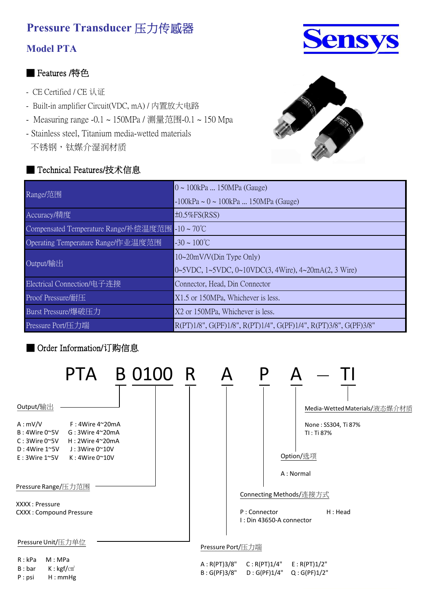### **Model PTA**

### ■ Features /特色

- CE Certified / CE 认证
- Built-in amplifier Circuit(VDC, mA) / 内置放大电路
- Measuring range -0.1 ~ 150MPa / 测量范围-0.1 ~ 150 Mpa
- Stainless steel, Titanium media-wetted materials 不锈钢,钛媒介湿润材质

### ■ Technical Features/技术信息





| Range/范围                                       | 0 ~ 100kPa  150MPa (Gauge)                                       |  |  |  |
|------------------------------------------------|------------------------------------------------------------------|--|--|--|
|                                                | $-100$ kPa ~ 0 ~ 100kPa  150MPa (Gauge)                          |  |  |  |
| Accuracy/精度                                    | $\pm 0.5\%$ FS(RSS)                                              |  |  |  |
| Compensated Temperature Range/补偿温度范围 -10 ~ 70℃ |                                                                  |  |  |  |
| Operating Temperature Range/作业温度范围             | $-30 \sim 100^{\circ}C$                                          |  |  |  |
| Output/输出                                      | 10~20mV/V(Din Type Only)                                         |  |  |  |
|                                                | 0~5VDC, 1~5VDC, 0~10VDC(3, 4Wire), 4~20mA(2, 3 Wire)             |  |  |  |
| Electrical Connection/电子连接                     | Connector, Head, Din Connector                                   |  |  |  |
| Proof Pressure/耐压                              | X1.5 or 150MPa, Whichever is less.                               |  |  |  |
| Burst Pressure/爆破压力                            | X2 or 150MPa, Whichever is less.                                 |  |  |  |
| Pressure Port/压力端                              | R(PT)1/8", G(PF)1/8", R(PT)1/4", G(PF)1/4", R(PT)3/8", G(PF)3/8" |  |  |  |

## ■ Order Information/订购信息

P : psi H : mmHg

|                                                                                          |                                                                                            | PTA B 0100 R |                               |                   |                                          |                                   |
|------------------------------------------------------------------------------------------|--------------------------------------------------------------------------------------------|--------------|-------------------------------|-------------------|------------------------------------------|-----------------------------------|
| Output/输出                                                                                |                                                                                            |              |                               |                   |                                          | Media-Wetted Materials/液态媒介材质     |
| A: mV/V<br>B:4Wire 0 <sup>o</sup> 5V<br>$C: 3W$ ire $0^{\sim}5V$<br>$D:4Wire 1^{\sim}5V$ | $F : 4W$ ire 4~20mA<br>$G:3W$ ire 4~20mA<br>$H:2W$ ire 4~20mA<br>$J:3W$ ire 0 $^{\sim}10V$ |              |                               |                   |                                          | None: SS304, Ti 87%<br>TI: Ti 87% |
| $E: 3W$ ire 1~5V                                                                         | K: 4Wire 0~10V                                                                             |              |                               |                   |                                          | Option/选项<br>A: Normal            |
| Pressure Range/压力范围                                                                      |                                                                                            |              |                               |                   |                                          | Connecting Methods/连接方式           |
| XXXX : Pressure<br><b>CXXX: Compound Pressure</b>                                        |                                                                                            |              |                               |                   | P: Connector<br>I: Din 43650-A connector | H : Head                          |
| Pressure Unit/压力单位                                                                       |                                                                                            |              |                               | Pressure Port/压力端 |                                          |                                   |
| R: kPa<br>M:MPa<br>$K: \text{kgf/cm}^2$<br>B : bar<br>D:cal                              | $U \cdot m mUg$                                                                            |              | A : R(PT)3/8"<br>B: G(PF)3/8" |                   | C: R(PT)1/4"<br>D: G(PF)1/4"             | E: R(PT)1/2"<br>Q: G(PF)1/2"      |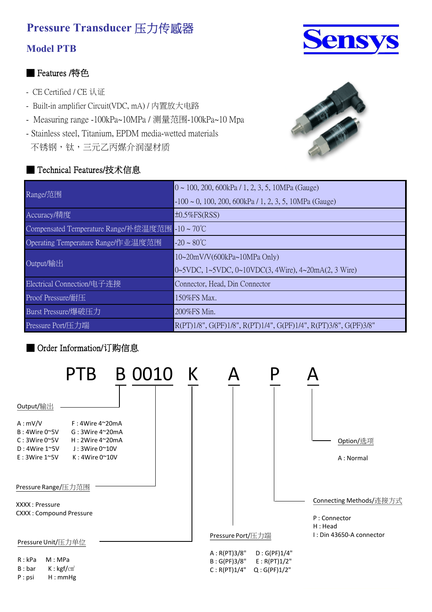## **Model PTB**

### ■ Features /特色

- CE Certified / CE 认证
- Built-in amplifier Circuit(VDC, mA) / 内置放大电路
- Measuring range -100kPa~10MPa / 测量范围-100kPa~10 Mpa
- Stainless steel, Titanium, EPDM media-wetted materials
- 不锈钢,钛,三元乙丙媒介润湿材质

#### ■ Technical Features/技术信息





| Range/范围                             | $0 \sim 100$ , 200, 600kPa / 1, 2, 3, 5, 10MPa (Gauge)           |
|--------------------------------------|------------------------------------------------------------------|
|                                      | $-100 \sim 0$ , 100, 200, 600kPa / 1, 2, 3, 5, 10MPa (Gauge)     |
| Accuracy/精度                          | $\pm 0.5\%$ FS(RSS)                                              |
| Compensated Temperature Range/补偿温度范围 | $-10 \sim 70^{\circ}C$                                           |
| Operating Temperature Range/作业温度范围   | $-20 \sim 80^{\circ}C$                                           |
| Output/输出                            | $10~20$ mV/V(600kPa $~10$ MPa Only)                              |
|                                      | 0~5VDC, 1~5VDC, 0~10VDC(3, 4Wire), 4~20mA(2, 3 Wire)             |
| Electrical Connection/电子连接           | Connector, Head, Din Connector                                   |
| Proof Pressure/耐压                    | 150%FS Max.                                                      |
| Burst Pressure/爆破压力                  | 200%FS Min.                                                      |
| Pressure Port/压力端                    | R(PT)1/8", G(PF)1/8", R(PT)1/4", G(PF)1/4", R(PT)3/8", G(PF)3/8" |

## ■ Order Information/订购信息

|                                                                                                                                     | PTB                                                                                                            | B 0010 K |                                               |                                              |                                                     |
|-------------------------------------------------------------------------------------------------------------------------------------|----------------------------------------------------------------------------------------------------------------|----------|-----------------------------------------------|----------------------------------------------|-----------------------------------------------------|
| Output/输出                                                                                                                           |                                                                                                                |          |                                               |                                              |                                                     |
| A: mV/V<br>B:4Wire 0 <sup>o</sup> 5V<br>$C: 3W$ ire $0^{\sim}5V$<br>$D:4Wire 1^{\sim}5V$<br>$E: 3W$ ire 1~5V<br>Pressure Range/压力范围 | $F : 4W$ ire 4~20mA<br>$G:3W$ ire 4~20mA<br>H: 2Wire 4~20mA<br>$J: 3W$ ire 0 $^{\sim}$ 10V<br>$K:4W$ ire 0~10V |          |                                               |                                              | Option/选项<br>A: Normal                              |
| XXXX: Pressure<br><b>CXXX: Compound Pressure</b>                                                                                    |                                                                                                                |          |                                               |                                              | Connecting Methods/连接方式<br>P: Connector<br>H : Head |
| Pressure Unit/压力单位                                                                                                                  |                                                                                                                |          | Pressure Port/压力端                             |                                              | I: Din 43650-A connector                            |
| M:MPa<br>R: kPa<br>$K: \text{kgf/cm}^2$<br>B : bar<br>H:mmHg<br>P:psi                                                               |                                                                                                                |          | A: R(PT)3/8"<br>B : G(PF)3/8"<br>C: R(PT)1/4" | D: G(PF)1/4"<br>E: R(PT)1/2"<br>Q: G(PF)1/2" |                                                     |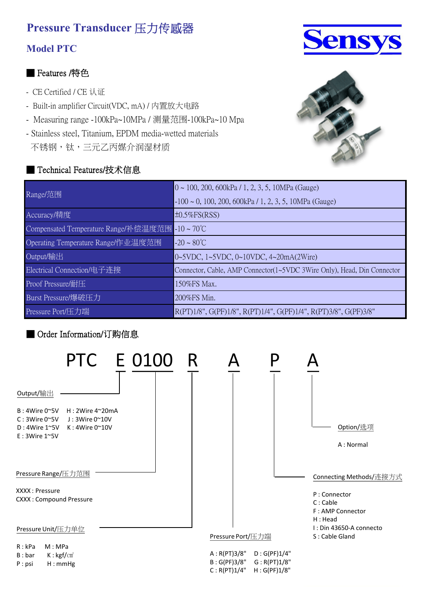### **Model PTC**

#### ■ Features /特色

- CE Certified / CE 认证
- Built-in amplifier Circuit(VDC, mA) / 内置放大电路
- Measuring range -100kPa~10MPa / 测量范围-100kPa~10 Mpa
- Stainless steel, Titanium, EPDM media-wetted materials
- 不锈钢,钛,三元乙丙媒介润湿材质

#### ■ Technical Features/技术信息





| Range/范围                                       | $0 \sim 100$ , 200, 600kPa / 1, 2, 3, 5, 10MPa (Gauge)                  |
|------------------------------------------------|-------------------------------------------------------------------------|
|                                                | $-100 \sim 0$ , 100, 200, 600kPa / 1, 2, 3, 5, 10MPa (Gauge)            |
| Accuracy/精度                                    | $\pm 0.5\%$ FS(RSS)                                                     |
| Compensated Temperature Range/补偿温度范围 -10 ~ 70℃ |                                                                         |
| Operating Temperature Range/作业温度范围             | $-20 \sim 80^{\circ}C$                                                  |
| Output/输出                                      | 0~5VDC, 1~5VDC, 0~10VDC, 4~20mA(2Wire)                                  |
| Electrical Connection/电子连接                     | Connector, Cable, AMP Connector(1~5VDC 3Wire Only), Head, Din Connector |
| Proof Pressure/耐压                              | 150%FS Max.                                                             |
| Burst Pressure/爆破压力                            | 200%FS Min.                                                             |
| Pressure Port/压力端                              | R(PT)1/8", G(PF)1/8", R(PT)1/4", G(PF)1/4", R(PT)3/8", G(PF)3/8"        |

#### ■ Order Information/订购信息

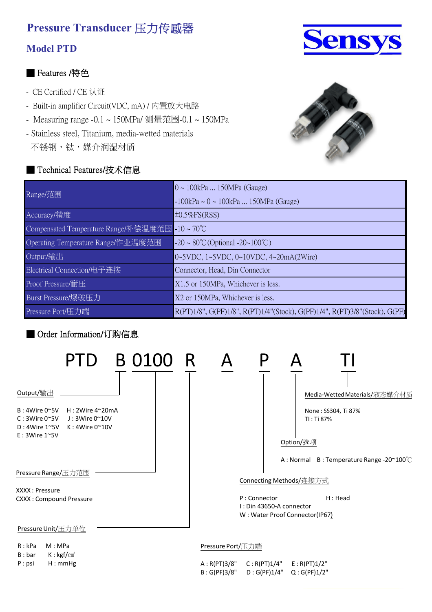### **Model PTD**

#### ■ Features /特色

- CE Certified / CE 认证
- Built-in amplifier Circuit(VDC, mA) / 内置放大电路
- Measuring range -0.1 ~ 150MPa/ 测量范围-0.1 ~ 150MPa
- Stainless steel, Titanium, media-wetted materials 不锈钢, 钛, 媒介润湿材质

### ■ Technical Features/技术信息





| Range/范围                                       | $0 \sim 100$ kPa  150MPa (Gauge)                                           |  |  |
|------------------------------------------------|----------------------------------------------------------------------------|--|--|
|                                                | $-100$ kPa ~ 0 ~ 100kPa  150MPa (Gauge)                                    |  |  |
| Accuracy/精度                                    | $\pm 0.5\%$ FS(RSS)                                                        |  |  |
| Compensated Temperature Range/补偿温度范围 -10 ~ 70℃ |                                                                            |  |  |
| Operating Temperature Range/作业温度范围             | $-20 \sim 80^{\circ}$ C (Optional $-20 \sim 100^{\circ}$ C)                |  |  |
| Output/输出                                      | 0~5VDC, 1~5VDC, 0~10VDC, 4~20mA(2Wire)                                     |  |  |
| Electrical Connection/电子连接                     | Connector, Head, Din Connector                                             |  |  |
| Proof Pressure/耐压                              | X1.5 or 150MPa, Whichever is less.                                         |  |  |
| Burst Pressure/爆破压力                            | X2 or 150MPa, Whichever is less.                                           |  |  |
| Pressure Port/压力端                              | R(PT)1/8", G(PF)1/8", R(PT)1/4"(Stock), G(PF)1/4", R(PT)3/8"(Stock), G(PF) |  |  |

#### ■ Order Information/订购信息



P : psi H : mmHg

| A : R(PT)3/8" | C: R(PT)1/4" | E: R(PT)1/2" |
|---------------|--------------|--------------|
| B : G(PF)3/8" | D: G(PF)1/4" | Q: G(PF)1/2" |